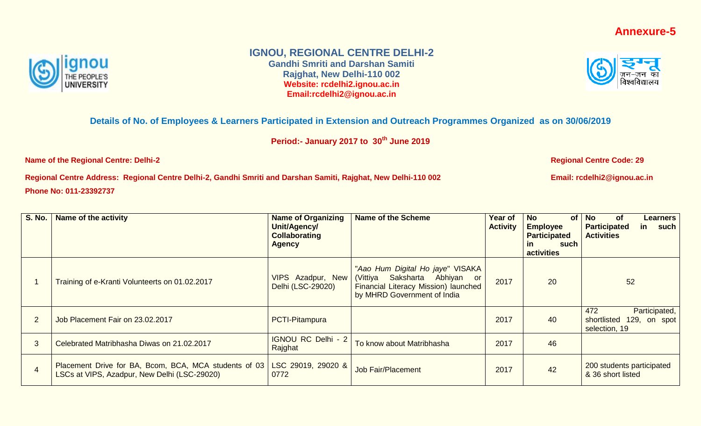## **Annexure-5**



## **IGNOU, REGIONAL CENTRE DELHI-2**

**Gandhi Smriti and Darshan Samiti Rajghat, New Delhi-110 002 Website: rcdelhi2.ignou.ac.in Email:rcdelhi2@ignou.ac.in**



## **Details of No. of Employees & Learners Participated in Extension and Outreach Programmes Organized as on 30/06/2019**

**Period:- January 2017 to 30th June 2019**

**Name of the Regional Centre: Delhi-2 Regional Centre Code: 29** 

**Regional Centre Address: Regional Centre Delhi-2, Gandhi Smriti and Darshan Samiti, Rajghat, New Delhi-110 002 Email: rcdelhi2@ignou.ac.in Phone No: 011-23392737**

**S. No. Name of the activity Name of Organizing Name of Organizing Unit/Agency/ Collaborating Agency Name of the Scheme Year of Activity No of Employee Participated in such activities of** Learners **Participated in such Activities** 1 Training of e-Kranti Volunteerts on 01.02.2017 | VIPS Azadpur, New Delhi (LSC-29020) "*Aao Hum Digital Ho jaye*" VISAKA (Vittiya Saksharta Abhiyan or Financial Literacy Mission) launched by MHRD Government of India 2017 20 52 2 Job Placement Fair on 23.02.2017 **PCTI-Pitampura** 2017 2017 2017 2017 40 472 Participated, shortlisted 129, on spot selection, 19 3 Celebrated Matribhasha Diwas on 21.02.2017 | IGNOU RC Delhi - 2 To know about Matribhasha  $\vert$  2017  $\vert$  46 4 Placement Drive for BA, Bcom, BCA, MCA students of 03 LSCs at VIPS, Azadpur, New Delhi (LSC-29020) LSC 29019, 29020 & LSC 29019, 29020 & Job Fair/Placement  $\begin{array}{|c|c|c|c|c|c|}\n\hline\n0772 & & & 200 \text{ students participated} \end{array}$ <br>0772 & 36 short listed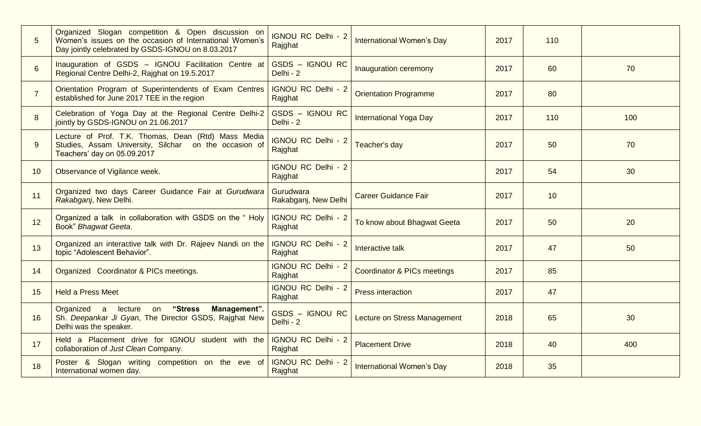| 5              | Organized Slogan competition & Open discussion on<br>Women's issues on the occasion of International Women's<br>Day jointly celebrated by GSDS-IGNOU on 8.03.2017 | <b>IGNOU RC Delhi - 2</b><br>Rajghat | <b>International Women's Day</b>       | 2017 | 110 |     |
|----------------|-------------------------------------------------------------------------------------------------------------------------------------------------------------------|--------------------------------------|----------------------------------------|------|-----|-----|
| 6              | Inauguration of GSDS - IGNOU Facilitation Centre at<br>Regional Centre Delhi-2, Rajghat on 19.5.2017                                                              | GSDS - IGNOU RC<br>Delhi - 2         | Inauguration ceremony                  | 2017 | 60  | 70  |
| $\overline{7}$ | Orientation Program of Superintendents of Exam Centres<br>established for June 2017 TEE in the region                                                             | <b>IGNOU RC Delhi - 2</b><br>Rajghat | <b>Orientation Programme</b>           | 2017 | 80  |     |
| 8              | Celebration of Yoga Day at the Regional Centre Delhi-2<br>jointly by GSDS-IGNOU on 21.06.2017                                                                     | GSDS - IGNOU RC<br>Delhi - 2         | <b>International Yoga Day</b>          | 2017 | 110 | 100 |
| 9              | Lecture of Prof. T.K. Thomas, Dean (Rtd) Mass Media<br>Studies, Assam University, Silchar on the occasion of<br>Teachers' day on 05.09.2017                       | <b>IGNOU RC Delhi - 2</b><br>Rajghat | Teacher's day                          | 2017 | 50  | 70  |
| 10             | Observance of Vigilance week.                                                                                                                                     | <b>IGNOU RC Delhi - 2</b><br>Rajghat |                                        | 2017 | 54  | 30  |
| 11             | Organized two days Career Guidance Fair at Gurudwara<br>Rakabganj, New Delhi.                                                                                     | Gurudwara<br>Rakabganj, New Delhi    | <b>Career Guidance Fair</b>            | 2017 | 10  |     |
| 12             | Organized a talk in collaboration with GSDS on the "Holy<br>Book" Bhagwat Geeta.                                                                                  | <b>IGNOU RC Delhi - 2</b><br>Rajghat | To know about Bhagwat Geeta            | 2017 | 50  | 20  |
| 13             | Organized an interactive talk with Dr. Rajeev Nandi on the<br>topic "Adolescent Behavior".                                                                        | <b>IGNOU RC Delhi - 2</b><br>Rajghat | Interactive talk                       | 2017 | 47  | 50  |
| 14             | Organized Coordinator & PICs meetings.                                                                                                                            | <b>IGNOU RC Delhi - 2</b><br>Rajghat | <b>Coordinator &amp; PICs meetings</b> | 2017 | 85  |     |
| 15             | <b>Held a Press Meet</b>                                                                                                                                          | <b>IGNOU RC Delhi - 2</b><br>Rajghat | <b>Press interaction</b>               | 2017 | 47  |     |
| 16             | "Stress<br>Organized a lecture on<br>Management".<br>Sh. Deepankar Ji Gyan, The Director GSDS, Rajghat New<br>Delhi was the speaker.                              | GSDS - IGNOU RC<br>Delhi - 2         | Lecture on Stress Management           | 2018 | 65  | 30  |
| 17             | Held a Placement drive for IGNOU student with the<br>collaboration of Just Clean Company.                                                                         | <b>IGNOU RC Delhi - 2</b><br>Rajghat | <b>Placement Drive</b>                 | 2018 | 40  | 400 |
| 18             | Poster & Slogan writing competition on the eve of<br>International women day.                                                                                     | <b>IGNOU RC Delhi - 2</b><br>Rajghat | <b>International Women's Day</b>       | 2018 | 35  |     |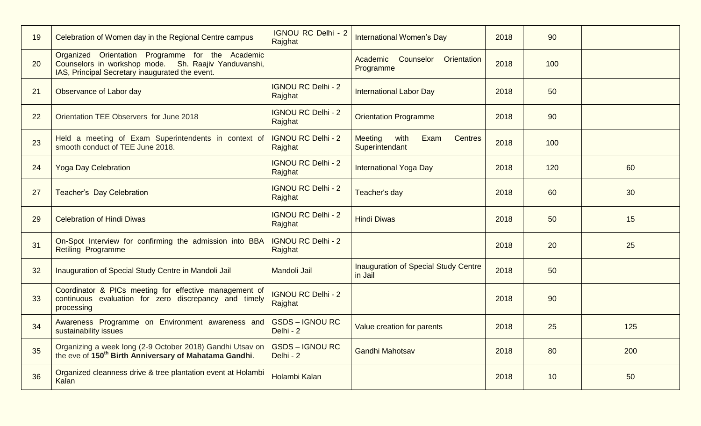| 19 | Celebration of Women day in the Regional Centre campus                                                                                                      | <b>IGNOU RC Delhi - 2</b><br>Rajghat | <b>International Women's Day</b>                            | 2018 | 90  |     |
|----|-------------------------------------------------------------------------------------------------------------------------------------------------------------|--------------------------------------|-------------------------------------------------------------|------|-----|-----|
| 20 | Organized Orientation Programme for the Academic<br>Counselors in workshop mode. Sh. Raajiv Yanduvanshi,<br>IAS, Principal Secretary inaugurated the event. |                                      | Academic Counselor<br>Orientation<br>Programme              | 2018 | 100 |     |
| 21 | Observance of Labor day                                                                                                                                     | <b>IGNOU RC Delhi - 2</b><br>Rajghat | <b>International Labor Day</b>                              | 2018 | 50  |     |
| 22 | Orientation TEE Observers for June 2018                                                                                                                     | <b>IGNOU RC Delhi - 2</b><br>Rajghat | <b>Orientation Programme</b>                                | 2018 | 90  |     |
| 23 | Held a meeting of Exam Superintendents in context of<br>smooth conduct of TEE June 2018.                                                                    | <b>IGNOU RC Delhi - 2</b><br>Rajghat | Meeting<br>with<br>Exam<br><b>Centres</b><br>Superintendant | 2018 | 100 |     |
| 24 | <b>Yoga Day Celebration</b>                                                                                                                                 | <b>IGNOU RC Delhi - 2</b><br>Rajghat | <b>International Yoga Day</b>                               | 2018 | 120 | 60  |
| 27 | <b>Teacher's Day Celebration</b>                                                                                                                            | <b>IGNOU RC Delhi - 2</b><br>Rajghat | Teacher's day                                               | 2018 | 60  | 30  |
| 29 | <b>Celebration of Hindi Diwas</b>                                                                                                                           | <b>IGNOU RC Delhi - 2</b><br>Rajghat | <b>Hindi Diwas</b>                                          | 2018 | 50  | 15  |
| 31 | On-Spot Interview for confirming the admission into BBA<br><b>Retiling Programme</b>                                                                        | <b>IGNOU RC Delhi - 2</b><br>Rajghat |                                                             | 2018 | 20  | 25  |
| 32 | Inauguration of Special Study Centre in Mandoli Jail                                                                                                        | Mandoli Jail                         | <b>Inauguration of Special Study Centre</b><br>in Jail      | 2018 | 50  |     |
| 33 | Coordinator & PICs meeting for effective management of<br>continuous evaluation for zero discrepancy and timely<br>processing                               | <b>IGNOU RC Delhi - 2</b><br>Rajghat |                                                             | 2018 | 90  |     |
| 34 | Awareness Programme on Environment awareness and<br>sustainability issues                                                                                   | <b>GSDS-IGNOU RC</b><br>Delhi - 2    | Value creation for parents                                  | 2018 | 25  | 125 |
| 35 | Organizing a week long (2-9 October 2018) Gandhi Utsav on<br>the eve of 150 <sup>th</sup> Birth Anniversary of Mahatama Gandhi.                             | <b>GSDS-IGNOURC</b><br>Delhi - 2     | <b>Gandhi Mahotsav</b>                                      | 2018 | 80  | 200 |
| 36 | Organized cleanness drive & tree plantation event at Holambi<br>Kalan                                                                                       | <b>Holambi Kalan</b>                 |                                                             | 2018 | 10  | 50  |